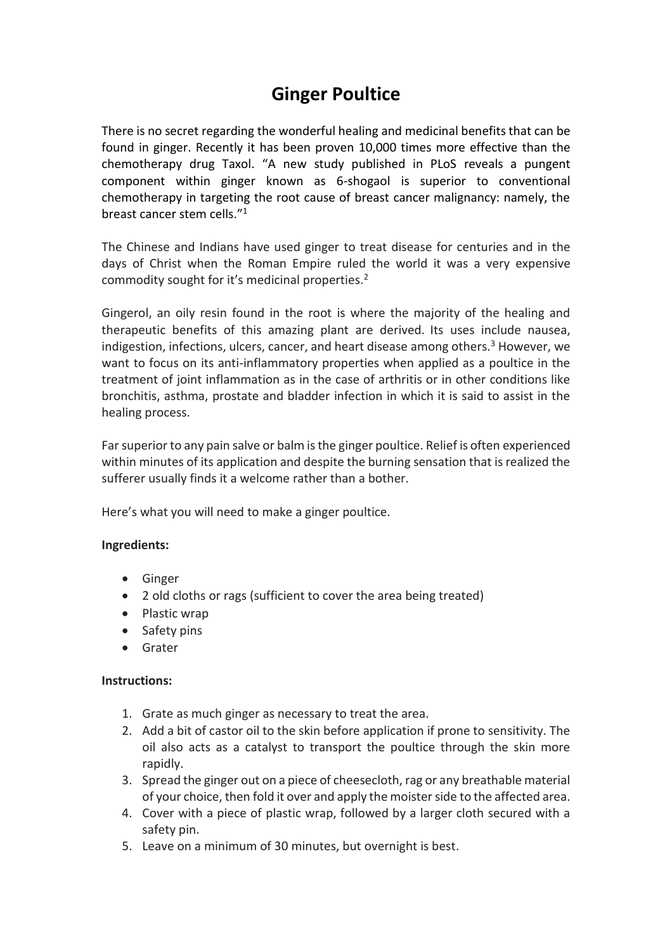## **Ginger Poultice**

There is no secret regarding the wonderful healing and medicinal benefits that can be found in ginger. Recently it has been proven 10,000 times more effective than the chemotherapy drug Taxol. "A new study published in PLoS reveals a pungent component within ginger known as 6-shogaol is superior to conventional chemotherapy in targeting the root cause of breast cancer malignancy: namely, the breast cancer stem cells." 1

The Chinese and Indians have used ginger to treat disease for centuries and in the days of Christ when the Roman Empire ruled the world it was a very expensive commodity sought for it's medicinal properties.<sup>2</sup>

Gingerol, an oily resin found in the root is where the majority of the healing and therapeutic benefits of this amazing plant are derived. Its uses include nausea, indigestion, infections, ulcers, cancer, and heart disease among others.<sup>3</sup> However, we want to focus on its anti-inflammatory properties when applied as a poultice in the treatment of joint inflammation as in the case of arthritis or in other conditions like bronchitis, asthma, prostate and bladder infection in which it is said to assist in the healing process.

Far superior to any pain salve or balm is the ginger poultice. Relief is often experienced within minutes of its application and despite the burning sensation that is realized the sufferer usually finds it a welcome rather than a bother.

Here's what you will need to make a ginger poultice.

## **Ingredients:**

- Ginger
- 2 old cloths or rags (sufficient to cover the area being treated)
- Plastic wrap
- Safety pins
- Grater

## **Instructions:**

- 1. Grate as much ginger as necessary to treat the area.
- 2. Add a bit of castor oil to the skin before application if prone to sensitivity. The oil also acts as a catalyst to transport the poultice through the skin more rapidly.
- 3. Spread the ginger out on a piece of cheesecloth, rag or any breathable material of your choice, then fold it over and apply the moister side to the affected area.
- 4. Cover with a piece of plastic wrap, followed by a larger cloth secured with a safety pin.
- 5. Leave on a minimum of 30 minutes, but overnight is best.